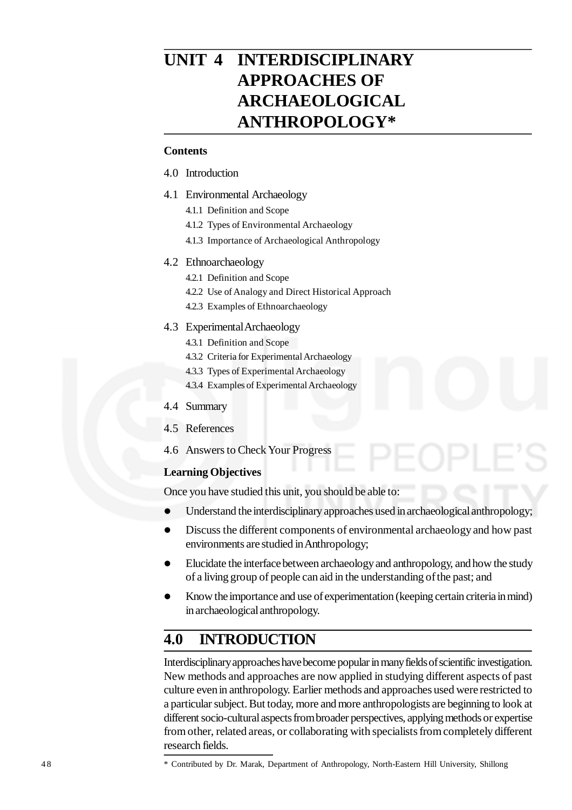# **UNIT 4 INTERDISCIPLINARY APPROACHES OF ARCHAEOLOGICAL ANTHROPOLOGY\***

#### **Contents**

- 4.0 Introduction
- 4.1 Environmental Archaeology
	- 4.1.1 Definition and Scope
	- 4.1.2 Types of Environmental Archaeology
	- 4.1.3 Importance of Archaeological Anthropology

#### 4.2 Ethnoarchaeology

- 4.2.1 Definition and Scope
- 4.2.2 Use of Analogy and Direct Historical Approach
- 4.2.3 Examples of Ethnoarchaeology

#### 4.3 Experimental Archaeology

- 4.3.1 Definition and Scope
- 4.3.2 Criteria for Experimental Archaeology
- 4.3.3 Types of Experimental Archaeology
- 4.3.4 Examples of Experimental Archaeology
- 4.4 Summary
- 4.5 References
- 4.6 Answers to Check Your Progress

#### **Learning Objectives**

Once you have studied this unit, you should be able to:

- Understand the interdisciplinary approaches used in archaeological anthropology;
- Discuss the different components of environmental archaeology and how past environments are studied in Anthropology;
- Elucidate the interface between archaeology and anthropology, and how the study of a living group of people can aid in the understanding of the past; and
- Know the importance and use of experimentation (keeping certain criteria in mind) in archaeological anthropology.

# **4.0 INTRODUCTION**

Interdisciplinary approaches have become popular in many fields of scientific investigation. New methods and approaches are now applied in studying different aspects of past culture even in anthropology. Earlier methods and approaches used were restricted to a particular subject. But today, more and more anthropologists are beginning to look at different socio-cultural aspects from broader perspectives, applying methods or expertise from other, related areas, or collaborating with specialists from completely different research fields.

\* Contributed by Dr. Marak, Department of Anthropology, North-Eastern Hill University, Shillong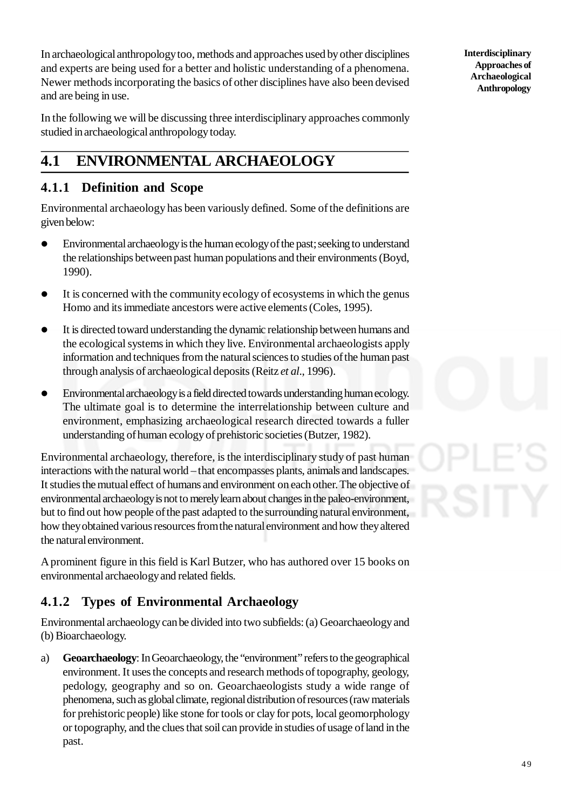In archaeological anthropology too, methods and approaches used by other disciplines and experts are being used for a better and holistic understanding of a phenomena. Newer methods incorporating the basics of other disciplines have also been devised and are being in use.

In the following we will be discussing three interdisciplinary approaches commonly studied in archaeological anthropology today.

# **4.1 ENVIRONMENTAL ARCHAEOLOGY**

## **4.1.1 Definition and Scope**

Environmental archaeology has been variously defined. Some of the definitions are given below:

- Environmental archaeology is the human ecology of the past; seeking to understand the relationships between past human populations and their environments (Boyd, 1990).
- It is concerned with the community ecology of ecosystems in which the genus Homo and its immediate ancestors were active elements (Coles, 1995).
- It is directed toward understanding the dynamic relationship between humans and the ecological systems in which they live. Environmental archaeologists apply information and techniques from the natural sciences to studies of the human past through analysis of archaeological deposits (Reitz *et al*., 1996).
- Environmental archaeology is a field directed towards understanding human ecology. The ultimate goal is to determine the interrelationship between culture and environment, emphasizing archaeological research directed towards a fuller understanding of human ecology of prehistoric societies (Butzer, 1982).

Environmental archaeology, therefore, is the interdisciplinary study of past human interactions with the natural world – that encompasses plants, animals and landscapes. It studies the mutual effect of humans and environment on each other. The objective of environmental archaeology is not to merely learn about changes in the paleo-environment, but to find out how people of the past adapted to the surrounding natural environment, how they obtained various resources from the natural environment and how they altered the natural environment.

A prominent figure in this field is Karl Butzer, who has authored over 15 books on environmental archaeology and related fields.

## **4.1.2 Types of Environmental Archaeology**

Environmental archaeology can be divided into two subfields: (a) Geoarchaeology and (b) Bioarchaeology.

a) **Geoarchaeology**: In Geoarchaeology, the "environment" refers to the geographical environment. It uses the concepts and research methods of topography, geology, pedology, geography and so on. Geoarchaeologists study a wide range of phenomena, such as global climate, regional distribution of resources (raw materials for prehistoric people) like stone for tools or clay for pots, local geomorphology or topography, and the clues that soil can provide in studies of usage of land in the past.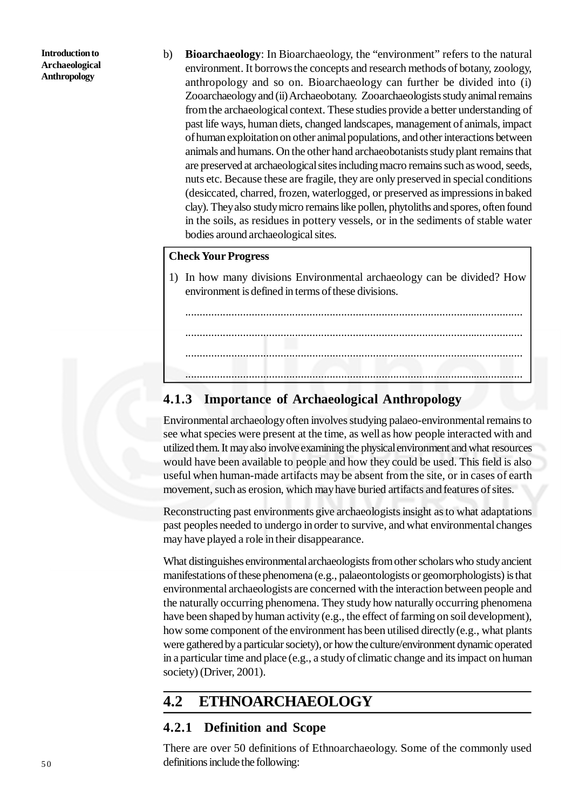b) **Bioarchaeology**: In Bioarchaeology, the "environment" refers to the natural environment. It borrows the concepts and research methods of botany, zoology, anthropology and so on. Bioarchaeology can further be divided into (i) Zooarchaeology and (ii) Archaeobotany. Zooarchaeologists study animal remains from the archaeological context. These studies provide a better understanding of past life ways, human diets, changed landscapes, management of animals, impact of human exploitation on other animal populations, and other interactions between animals and humans. On the other hand archaeobotanists study plant remains that are preserved at archaeological sites including macro remains such as wood, seeds, nuts etc. Because these are fragile, they are only preserved in special conditions (desiccated, charred, frozen, waterlogged, or preserved as impressions in baked clay). They also study micro remains like pollen, phytoliths and spores, often found in the soils, as residues in pottery vessels, or in the sediments of stable water bodies around archaeological sites.

#### **Check Your Progress**

1) In how many divisions Environmental archaeology can be divided? How environment is defined in terms of these divisions.

.....................................................................................................................

.....................................................................................................................

.....................................................................................................................

.....................................................................................................................

### **4.1.3 Importance of Archaeological Anthropology**

Environmental archaeology often involves studying palaeo-environmental remains to see what species were present at the time, as well as how people interacted with and utilized them. It may also involve examining the physical environment and what resources would have been available to people and how they could be used. This field is also useful when human-made artifacts may be absent from the site, or in cases of earth movement, such as erosion, which may have buried artifacts and features of sites.

Reconstructing past environments give archaeologists insight as to what adaptations past peoples needed to undergo in order to survive, and what environmental changes may have played a role in their disappearance.

What distinguishes environmental archaeologists from other scholars who study ancient manifestations of these phenomena (e.g., palaeontologists or geomorphologists) is that environmental archaeologists are concerned with the interaction between people and the naturally occurring phenomena. They study how naturally occurring phenomena have been shaped by human activity (e.g., the effect of farming on soil development), how some component of the environment has been utilised directly (e.g., what plants were gathered by a particular society), or how the culture/environment dynamic operated in a particular time and place (e.g., a study of climatic change and its impact on human society) (Driver, 2001).

## **4.2 ETHNOARCHAEOLOGY**

#### **4.2.1 Definition and Scope**

There are over 50 definitions of Ethnoarchaeology. Some of the commonly used definitions include the following: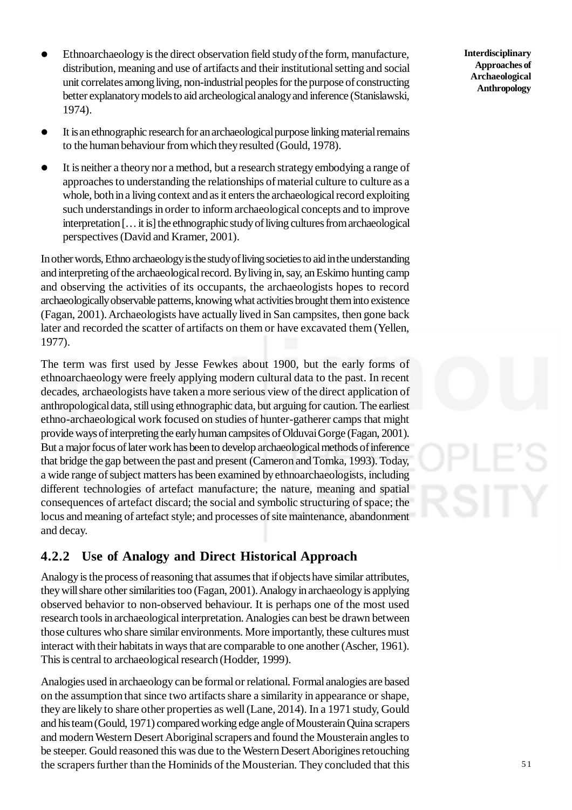- Ethnoarchaeology is the direct observation field study of the form, manufacture, distribution, meaning and use of artifacts and their institutional setting and social unit correlates among living, non-industrial peoples for the purpose of constructing better explanatory models to aid archeological analogy and inference (Stanislawski, 1974).
- It is an ethnographic research for an archaeological purpose linking material remains to the human behaviour from which they resulted (Gould, 1978).
- It is neither a theory nor a method, but a research strategy embodying a range of approaches to understanding the relationships of material culture to culture as a whole, both in a living context and as it enters the archaeological record exploiting such understandings in order to inform archaeological concepts and to improve interpretation [… it is] the ethnographic study of living cultures from archaeological perspectives (David and Kramer, 2001).

In other words, Ethno archaeology is the study of living societies to aid in the understanding and interpreting of the archaeological record. By living in, say, an Eskimo hunting camp and observing the activities of its occupants, the archaeologists hopes to record archaeologically observable patterns, knowing what activities brought them into existence (Fagan, 2001). Archaeologists have actually lived in San campsites, then gone back later and recorded the scatter of artifacts on them or have excavated them (Yellen, 1977).

The term was first used by Jesse Fewkes about 1900, but the early forms of ethnoarchaeology were freely applying modern cultural data to the past. In recent decades, archaeologists have taken a more serious view of the direct application of anthropological data, still using ethnographic data, but arguing for caution. The earliest ethno-archaeological work focused on studies of hunter-gatherer camps that might provide ways of interpreting the early human campsites of Olduvai Gorge (Fagan, 2001). But a major focus of later work has been to develop archaeological methods of inference that bridge the gap between the past and present (Cameron and Tomka, 1993). Today, a wide range of subject matters has been examined by ethnoarchaeologists, including different technologies of artefact manufacture; the nature, meaning and spatial consequences of artefact discard; the social and symbolic structuring of space; the locus and meaning of artefact style; and processes of site maintenance, abandonment and decay.

## **4.2.2 Use of Analogy and Direct Historical Approach**

Analogy is the process of reasoning that assumes that if objects have similar attributes, they will share other similarities too (Fagan, 2001). Analogy in archaeology is applying observed behavior to non-observed behaviour. It is perhaps one of the most used research tools in archaeological interpretation. Analogies can best be drawn between those cultures who share similar environments. More importantly, these cultures must interact with their habitats in ways that are comparable to one another (Ascher, 1961). This is central to archaeological research (Hodder, 1999).

Analogies used in archaeology can be formal or relational. Formal analogies are based on the assumption that since two artifacts share a similarity in appearance or shape, they are likely to share other properties as well (Lane, 2014). In a 1971 study, Gould and his team (Gould, 1971) compared working edge angle of Mousterain Quina scrapers and modern Western Desert Aboriginal scrapers and found the Mousterain angles to be steeper. Gould reasoned this was due to the Western Desert Aborigines retouching the scrapers further than the Hominids of the Mousterian. They concluded that this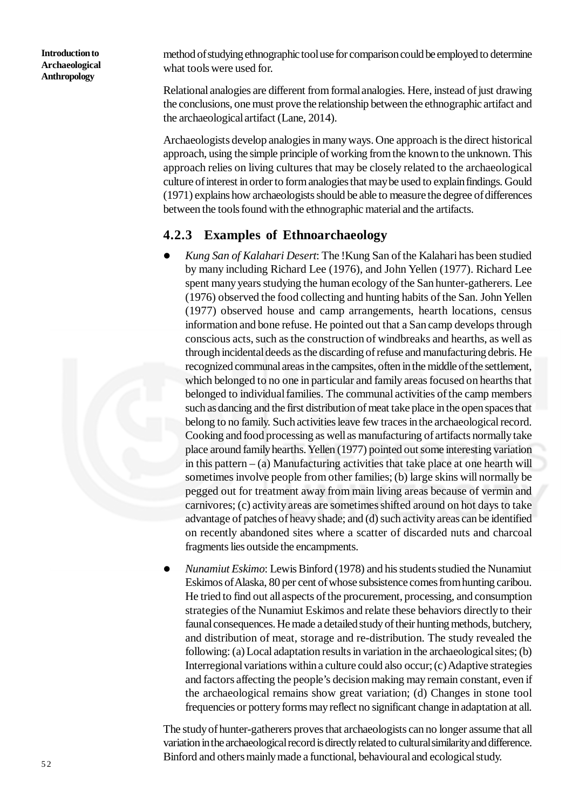method of studying ethnographic tool use for comparison could be employed to determine what tools were used for.

Relational analogies are different from formal analogies. Here, instead of just drawing the conclusions, one must prove the relationship between the ethnographic artifact and the archaeological artifact (Lane, 2014).

Archaeologists develop analogies in many ways. One approach is the direct historical approach, using the simple principle of working from the known to the unknown. This approach relies on living cultures that may be closely related to the archaeological culture of interest in order to form analogies that may be used to explain findings. Gould (1971) explains how archaeologists should be able to measure the degree of differences between the tools found with the ethnographic material and the artifacts.

#### **4.2.3 Examples of Ethnoarchaeology**

- *Kung San of Kalahari Desert*: The !Kung San of the Kalahari has been studied by many including Richard Lee (1976), and John Yellen (1977). Richard Lee spent many years studying the human ecology of the San hunter-gatherers. Lee (1976) observed the food collecting and hunting habits of the San. John Yellen (1977) observed house and camp arrangements, hearth locations, census information and bone refuse. He pointed out that a San camp develops through conscious acts, such as the construction of windbreaks and hearths, as well as through incidental deeds as the discarding of refuse and manufacturing debris. He recognized communal areas in the campsites, often in the middle of the settlement, which belonged to no one in particular and family areas focused on hearths that belonged to individual families. The communal activities of the camp members such as dancing and the first distribution of meat take place in the open spaces that belong to no family. Such activities leave few traces in the archaeological record. Cooking and food processing as well as manufacturing of artifacts normally take place around family hearths. Yellen (1977) pointed out some interesting variation in this pattern  $-$  (a) Manufacturing activities that take place at one hearth will sometimes involve people from other families; (b) large skins will normally be pegged out for treatment away from main living areas because of vermin and carnivores; (c) activity areas are sometimes shifted around on hot days to take advantage of patches of heavy shade; and (d) such activity areas can be identified on recently abandoned sites where a scatter of discarded nuts and charcoal fragments lies outside the encampments.
- *Nunamiut Eskimo*: Lewis Binford (1978) and his students studied the Nunamiut Eskimos of Alaska, 80 per cent of whose subsistence comes from hunting caribou. He tried to find out all aspects of the procurement, processing, and consumption strategies of the Nunamiut Eskimos and relate these behaviors directly to their faunal consequences. He made a detailed study of their hunting methods, butchery, and distribution of meat, storage and re-distribution. The study revealed the following: (a) Local adaptation results in variation in the archaeological sites; (b) Interregional variations within a culture could also occur; (c) Adaptive strategies and factors affecting the people's decision making may remain constant, even if the archaeological remains show great variation; (d) Changes in stone tool frequencies or pottery forms may reflect no significant change in adaptation at all.

The study of hunter-gatherers proves that archaeologists can no longer assume that all variation in the archaeological record is directly related to cultural similarity and difference. Binford and others mainly made a functional, behavioural and ecological study.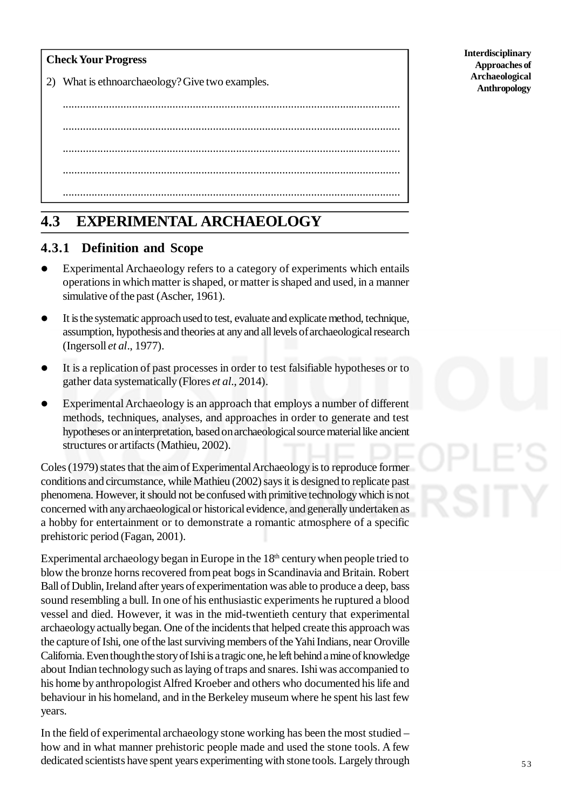|  |  | <b>Check Your Progress</b> |
|--|--|----------------------------|
|--|--|----------------------------|

2) What is ethnoarchaeology? Give two examples.

..................................................................................................................... ..................................................................................................................... ..................................................................................................................... ..................................................................................................................... .....................................................................................................................

# **4.3 EXPERIMENTAL ARCHAEOLOGY**

## **4.3.1 Definition and Scope**

- Experimental Archaeology refers to a category of experiments which entails operations in which matter is shaped, or matter is shaped and used, in a manner simulative of the past (Ascher, 1961).
- It is the systematic approach used to test, evaluate and explicate method, technique, assumption, hypothesis and theories at any and all levels of archaeological research (Ingersoll *et al*., 1977).
- It is a replication of past processes in order to test falsifiable hypotheses or to gather data systematically (Flores *et al*., 2014).
- Experimental Archaeology is an approach that employs a number of different methods, techniques, analyses, and approaches in order to generate and test hypotheses or an interpretation, based on archaeological source material like ancient structures or artifacts (Mathieu, 2002).

Coles (1979) states that the aim of Experimental Archaeology is to reproduce former conditions and circumstance, while Mathieu (2002) says it is designed to replicate past phenomena. However, it should not be confused with primitive technology which is not concerned with any archaeological or historical evidence, and generally undertaken as a hobby for entertainment or to demonstrate a romantic atmosphere of a specific prehistoric period (Fagan, 2001).

Experimental archaeology began in Europe in the  $18<sup>th</sup>$  century when people tried to blow the bronze horns recovered from peat bogs in Scandinavia and Britain. Robert Ball of Dublin, Ireland after years of experimentation was able to produce a deep, bass sound resembling a bull. In one of his enthusiastic experiments he ruptured a blood vessel and died. However, it was in the mid-twentieth century that experimental archaeology actually began. One of the incidents that helped create this approach was the capture of Ishi, one of the last surviving members of the Yahi Indians, near Oroville California. Even though the story of Ishi is a tragic one, he left behind a mine of knowledge about Indian technology such as laying of traps and snares. Ishi was accompanied to his home by anthropologist Alfred Kroeber and others who documented his life and behaviour in his homeland, and in the Berkeley museum where he spent his last few years.

In the field of experimental archaeology stone working has been the most studied – how and in what manner prehistoric people made and used the stone tools. A few dedicated scientists have spent years experimenting with stone tools. Largely through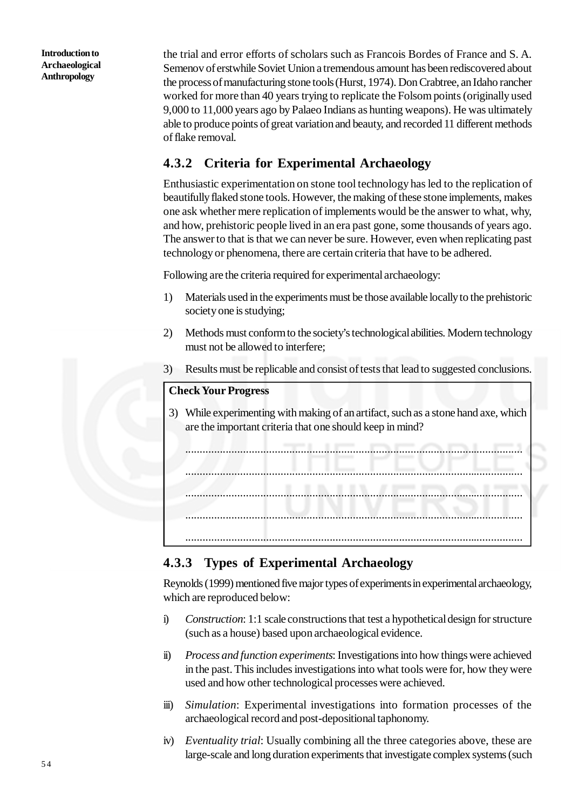the trial and error efforts of scholars such as Francois Bordes of France and S. A. Semenov of erstwhile Soviet Union a tremendous amount has been rediscovered about the process of manufacturing stone tools (Hurst, 1974). Don Crabtree, an Idaho rancher worked for more than 40 years trying to replicate the Folsom points (originally used 9,000 to 11,000 years ago by Palaeo Indians as hunting weapons). He was ultimately able to produce points of great variation and beauty, and recorded 11 different methods of flake removal.

## **4.3.2 Criteria for Experimental Archaeology**

Enthusiastic experimentation on stone tool technology has led to the replication of beautifully flaked stone tools. However, the making of these stone implements, makes one ask whether mere replication of implements would be the answer to what, why, and how, prehistoric people lived in an era past gone, some thousands of years ago. The answer to that is that we can never be sure. However, even when replicating past technology or phenomena, there are certain criteria that have to be adhered.

Following are the criteria required for experimental archaeology:

- 1) Materials used in the experiments must be those available locally to the prehistoric society one is studying;
- 2) Methods must conform to the society's technological abilities. Modern technology must not be allowed to interfere;
- 3) Results must be replicable and consist of tests that lead to suggested conclusions.

#### **Check Your Progress**

3) While experimenting with making of an artifact, such as a stone hand axe, which are the important criteria that one should keep in mind?

..................................................................................................................... ..................................................................................................................... ..................................................................................................................... ..................................................................................................................... .....................................................................................................................

## **4.3.3 Types of Experimental Archaeology**

Reynolds (1999) mentioned five major types of experiments in experimental archaeology, which are reproduced below:

- i) *Construction*: 1:1 scale constructions that test a hypothetical design for structure (such as a house) based upon archaeological evidence.
- ii) *Process and function experiments*: Investigations into how things were achieved in the past. This includes investigations into what tools were for, how they were used and how other technological processes were achieved.
- iii) *Simulation*: Experimental investigations into formation processes of the archaeological record and post-depositional taphonomy.
- iv) *Eventuality trial*: Usually combining all the three categories above, these are large-scale and long duration experiments that investigate complex systems (such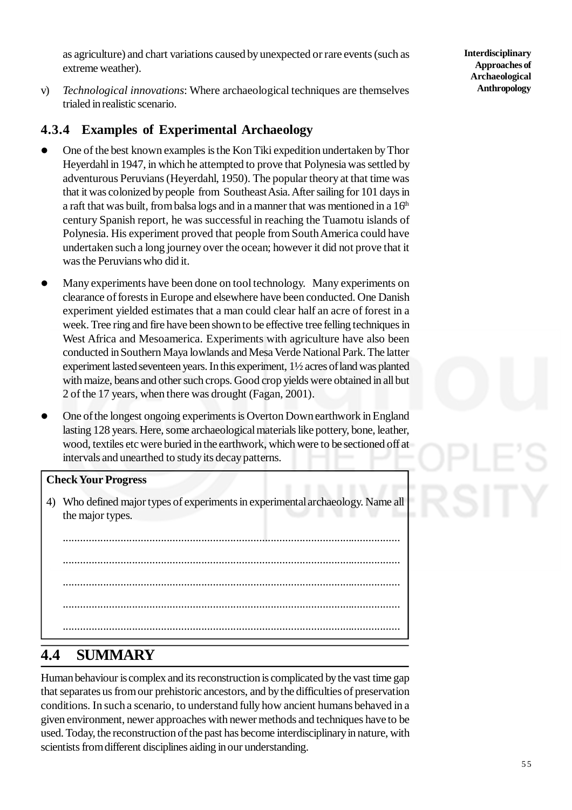as agriculture) and chart variations caused by unexpected or rare events (such as extreme weather).

v) *Technological innovations*: Where archaeological techniques are themselves trialed in realistic scenario.

## **4.3.4 Examples of Experimental Archaeology**

- One of the best known examples is the Kon Tiki expedition undertaken by Thor Heyerdahl in 1947, in which he attempted to prove that Polynesia was settled by adventurous Peruvians (Heyerdahl, 1950). The popular theory at that time was that it was colonized by people from Southeast Asia. After sailing for 101 days in a raft that was built, from balsa logs and in a manner that was mentioned in a  $16<sup>th</sup>$ century Spanish report, he was successful in reaching the Tuamotu islands of Polynesia. His experiment proved that people from South America could have undertaken such a long journey over the ocean; however it did not prove that it was the Peruvians who did it.
- Many experiments have been done on tool technology. Many experiments on clearance of forests in Europe and elsewhere have been conducted. One Danish experiment yielded estimates that a man could clear half an acre of forest in a week. Tree ring and fire have been shown to be effective tree felling techniques in West Africa and Mesoamerica. Experiments with agriculture have also been conducted in Southern Maya lowlands and Mesa Verde National Park. The latter experiment lasted seventeen years. In this experiment, 1½ acres of land was planted with maize, beans and other such crops. Good crop yields were obtained in all but 2 of the 17 years, when there was drought (Fagan, 2001).
- One of the longest ongoing experiments is Overton Down earthwork in England lasting 128 years. Here, some archaeological materials like pottery, bone, leather, wood, textiles etc were buried in the earthwork, which were to be sectioned off at intervals and unearthed to study its decay patterns.

#### **Check Your Progress**

4) Who defined major types of experiments in experimental archaeology. Name all the major types.

..................................................................................................................... ..................................................................................................................... ..................................................................................................................... ..................................................................................................................... .....................................................................................................................

# **4.4 SUMMARY**

Human behaviour is complex and its reconstruction is complicated by the vast time gap that separates us from our prehistoric ancestors, and by the difficulties of preservation conditions. In such a scenario, to understand fully how ancient humans behaved in a given environment, newer approaches with newer methods and techniques have to be used. Today, the reconstruction of the past has become interdisciplinary in nature, with scientists from different disciplines aiding in our understanding.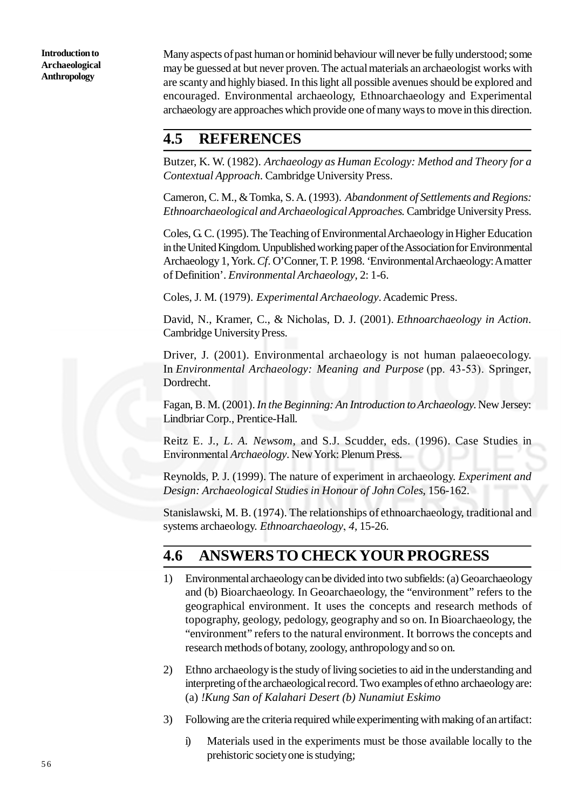Many aspects of past human or hominid behaviour will never be fully understood; some may be guessed at but never proven. The actual materials an archaeologist works with are scanty and highly biased. In this light all possible avenues should be explored and encouraged. Environmental archaeology, Ethnoarchaeology and Experimental archaeology are approaches which provide one of many ways to move in this direction.

## **4.5 REFERENCES**

Butzer, K. W. (1982). *Archaeology as Human Ecology: Method and Theory for a Contextual Approach*. Cambridge University Press.

Cameron, C. M., & Tomka, S. A. (1993). *Abandonment of Settlements and Regions: Ethnoarchaeological and Archaeological Approaches*. Cambridge University Press.

Coles, G. C. (1995). The Teaching of Environmental Archaeology in Higher Education in the United Kingdom. Unpublished working paper of the Association for Environmental Archaeology 1, York. *Cf*. O'Conner, T. P. 1998. 'Environmental Archaeology: A matter of Definition'. *Environmental Archaeology*, 2: 1-6.

Coles, J. M. (1979). *Experimental Archaeology*. Academic Press.

David, N., Kramer, C., & Nicholas, D. J. (2001). *Ethnoarchaeology in Action*. Cambridge University Press.

Driver, J. (2001). Environmental archaeology is not human palaeoecology. In *Environmental Archaeology: Meaning and Purpose* (pp. 43-53). Springer, Dordrecht.

Fagan, B. M. (2001). *In the Beginning: An Introduction to Archaeology*. New Jersey: Lindbriar Corp., Prentice-Hall.

Reitz E. J., *L. A. Newsom*, and S.J. Scudder, eds. (1996). Case Studies in Environmental *Archaeology*. New York: Plenum Press.

Reynolds, P. J. (1999). The nature of experiment in archaeology. *Experiment and Design: Archaeological Studies in Honour of John Coles*, 156-162.

Stanislawski, M. B. (1974). The relationships of ethnoarchaeology, traditional and systems archaeology. *Ethnoarchaeology*, *4*, 15-26.

## **4.6 ANSWERS TO CHECK YOUR PROGRESS**

- 1) Environmental archaeology can be divided into two subfields: (a) Geoarchaeology and (b) Bioarchaeology. In Geoarchaeology, the "environment" refers to the geographical environment. It uses the concepts and research methods of topography, geology, pedology, geography and so on. In Bioarchaeology, the "environment" refers to the natural environment. It borrows the concepts and research methods of botany, zoology, anthropology and so on.
- 2) Ethno archaeology is the study of living societies to aid in the understanding and interpreting of the archaeological record. Two examples of ethno archaeology are: (a) *!Kung San of Kalahari Desert (b) Nunamiut Eskimo*
- 3) Following are the criteria required while experimenting with making of an artifact:
	- i) Materials used in the experiments must be those available locally to the prehistoric society one is studying;